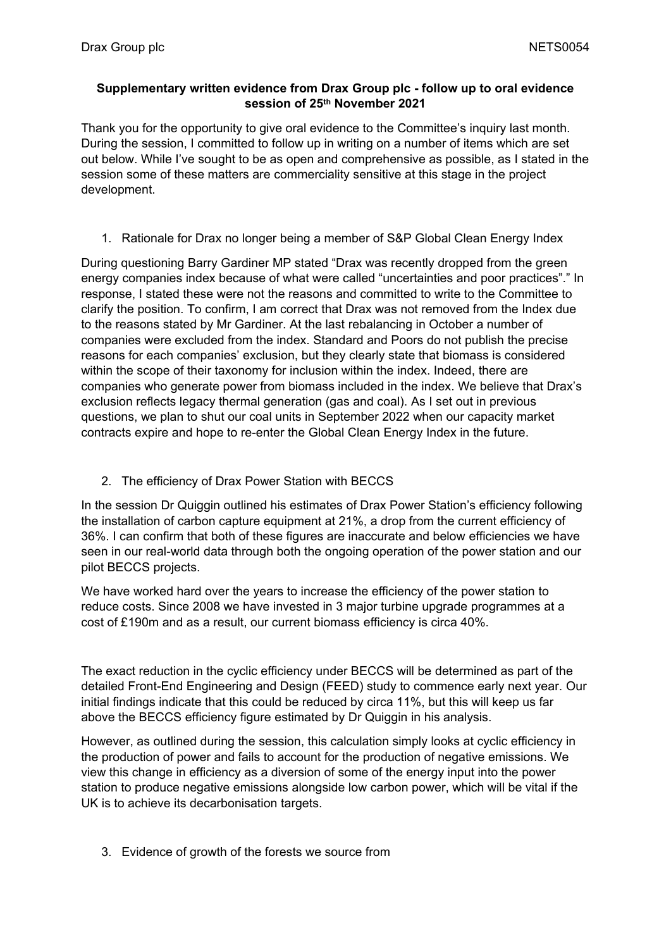## **Supplementary written evidence from Drax Group plc - follow up to oral evidence session of 25th November 2021**

Thank you for the opportunity to give oral evidence to the Committee's inquiry last month. During the session, I committed to follow up in writing on a number of items which are set out below. While I've sought to be as open and comprehensive as possible, as I stated in the session some of these matters are commerciality sensitive at this stage in the project development.

1. Rationale for Drax no longer being a member of S&P Global Clean Energy Index

During questioning Barry Gardiner MP stated "Drax was recently dropped from the green energy companies index because of what were called "uncertainties and poor practices"." In response, I stated these were not the reasons and committed to write to the Committee to clarify the position. To confirm, I am correct that Drax was not removed from the Index due to the reasons stated by Mr Gardiner. At the last rebalancing in October a number of companies were excluded from the index. Standard and Poors do not publish the precise reasons for each companies' exclusion, but they clearly state that biomass is considered within the scope of their taxonomy for inclusion within the index. Indeed, there are companies who generate power from biomass included in the index. We believe that Drax's exclusion reflects legacy thermal generation (gas and coal). As I set out in previous questions, we plan to shut our coal units in September 2022 when our capacity market contracts expire and hope to re-enter the Global Clean Energy Index in the future.

2. The efficiency of Drax Power Station with BECCS

In the session Dr Quiggin outlined his estimates of Drax Power Station's efficiency following the installation of carbon capture equipment at 21%, a drop from the current efficiency of 36%. I can confirm that both of these figures are inaccurate and below efficiencies we have seen in our real-world data through both the ongoing operation of the power station and our pilot BECCS projects.

We have worked hard over the years to increase the efficiency of the power station to reduce costs. Since 2008 we have invested in 3 major turbine upgrade programmes at a cost of £190m and as a result, our current biomass efficiency is circa 40%.

The exact reduction in the cyclic efficiency under BECCS will be determined as part of the detailed Front-End Engineering and Design (FEED) study to commence early next year. Our initial findings indicate that this could be reduced by circa 11%, but this will keep us far above the BECCS efficiency figure estimated by Dr Quiggin in his analysis.

However, as outlined during the session, this calculation simply looks at cyclic efficiency in the production of power and fails to account for the production of negative emissions. We view this change in efficiency as a diversion of some of the energy input into the power station to produce negative emissions alongside low carbon power, which will be vital if the UK is to achieve its decarbonisation targets.

3. Evidence of growth of the forests we source from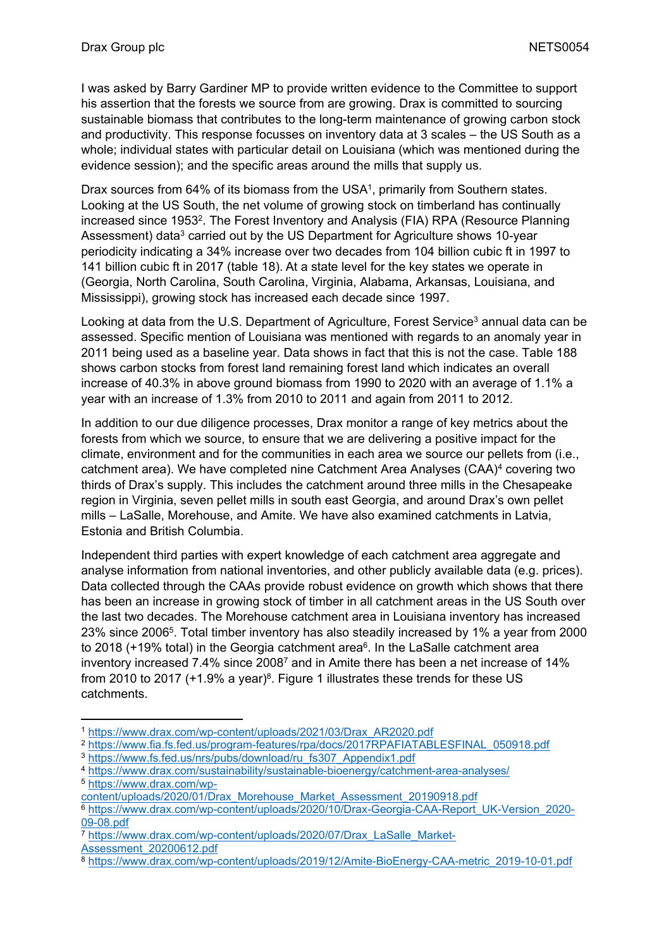I was asked by Barry Gardiner MP to provide written evidence to the Committee to support his assertion that the forests we source from are growing. Drax is committed to sourcing sustainable biomass that contributes to the long-term maintenance of growing carbon stock and productivity. This response focusses on inventory data at 3 scales – the US South as a whole; individual states with particular detail on Louisiana (which was mentioned during the evidence session); and the specific areas around the mills that supply us.

Drax sources from 64% of its biomass from the USA<sup>1</sup>, primarily from Southern states. Looking at the US South, the net volume of growing stock on timberland has continually increased since 1953<sup>2</sup>. The Forest Inventory and Analysis (FIA) RPA (Resource Planning Assessment) data<sup>3</sup> carried out by the US Department for Agriculture shows 10-year periodicity indicating a 34% increase over two decades from 104 billion cubic ft in 1997 to 141 billion cubic ft in 2017 (table 18). At a state level for the key states we operate in (Georgia, North Carolina, South Carolina, Virginia, Alabama, Arkansas, Louisiana, and Mississippi), growing stock has increased each decade since 1997.

Looking at data from the U.S. Department of Agriculture, Forest Service<sup>3</sup> annual data can be assessed. Specific mention of Louisiana was mentioned with regards to an anomaly year in 2011 being used as a baseline year. Data shows in fact that this is not the case. Table 188 shows carbon stocks from forest land remaining forest land which indicates an overall increase of 40.3% in above ground biomass from 1990 to 2020 with an average of 1.1% a year with an increase of 1.3% from 2010 to 2011 and again from 2011 to 2012.

In addition to our due diligence processes, Drax monitor a range of key metrics about the forests from which we source, to ensure that we are delivering a positive impact for the climate, environment and for the communities in each area we source our pellets from (i.e., catchment area). We have completed nine Catchment Area Analyses (CAA)<sup>4</sup> covering two thirds of Drax's supply. This includes the catchment around three mills in the Chesapeake region in Virginia, seven pellet mills in south east Georgia, and around Drax's own pellet mills – LaSalle, Morehouse, and Amite. We have also examined catchments in Latvia, Estonia and British Columbia.

Independent third parties with expert knowledge of each catchment area aggregate and analyse information from national inventories, and other publicly available data (e.g. prices). Data collected through the CAAs provide robust evidence on growth which shows that there has been an increase in growing stock of timber in all catchment areas in the US South over the last two decades. The Morehouse catchment area in Louisiana inventory has increased 23% since 2006<sup>5</sup> . Total timber inventory has also steadily increased by 1% a year from 2000 to 2018 (+19% total) in the Georgia catchment area<sup>6</sup>. In the LaSalle catchment area inventory increased 7.4% since 2008<sup>7</sup> and in Amite there has been a net increase of 14% from 2010 to 2017 ( $+1.9\%$  a year)<sup>8</sup>. Figure 1 illustrates these trends for these US catchments.

<sup>1</sup> [https://www.drax.com/wp-content/uploads/2021/03/Drax\\_AR2020.pdf](https://www.drax.com/wp-content/uploads/2021/03/Drax_AR2020.pdf)

<sup>2</sup> [https://www.fia.fs.fed.us/program-features/rpa/docs/2017RPAFIATABLESFINAL\\_050918.pdf](https://www.fia.fs.fed.us/program-features/rpa/docs/2017RPAFIATABLESFINAL_050918.pdf) <sup>3</sup> [https://www.fs.fed.us/nrs/pubs/download/ru\\_fs307\\_Appendix1.pdf](https://www.fs.fed.us/nrs/pubs/download/ru_fs307_Appendix1.pdf)

<sup>4</sup> <https://www.drax.com/sustainability/sustainable-bioenergy/catchment-area-analyses/>

<sup>5</sup> [https://www.drax.com/wp-](https://www.drax.com/wp-content/uploads/2020/01/Drax_Morehouse_Market_Assessment_20190918.pdf)

[content/uploads/2020/01/Drax\\_Morehouse\\_Market\\_Assessment\\_20190918.pdf](https://www.drax.com/wp-content/uploads/2020/01/Drax_Morehouse_Market_Assessment_20190918.pdf)

<sup>6</sup> [https://www.drax.com/wp-content/uploads/2020/10/Drax-Georgia-CAA-Report\\_UK-Version\\_2020-](https://www.drax.com/wp-content/uploads/2020/10/Drax-Georgia-CAA-Report_UK-Version_2020-09-08.pdf) [09-08.pdf](https://www.drax.com/wp-content/uploads/2020/10/Drax-Georgia-CAA-Report_UK-Version_2020-09-08.pdf)

<sup>7</sup> [https://www.drax.com/wp-content/uploads/2020/07/Drax\\_LaSalle\\_Market-](https://www.drax.com/wp-content/uploads/2020/07/Drax_LaSalle_Market-Assessment_20200612.pdf)

[Assessment\\_20200612.pdf](https://www.drax.com/wp-content/uploads/2020/07/Drax_LaSalle_Market-Assessment_20200612.pdf)

<sup>8</sup> [https://www.drax.com/wp-content/uploads/2019/12/Amite-BioEnergy-CAA-metric\\_2019-10-01.pdf](https://www.drax.com/wp-content/uploads/2019/12/Amite-BioEnergy-CAA-metric_2019-10-01.pdf)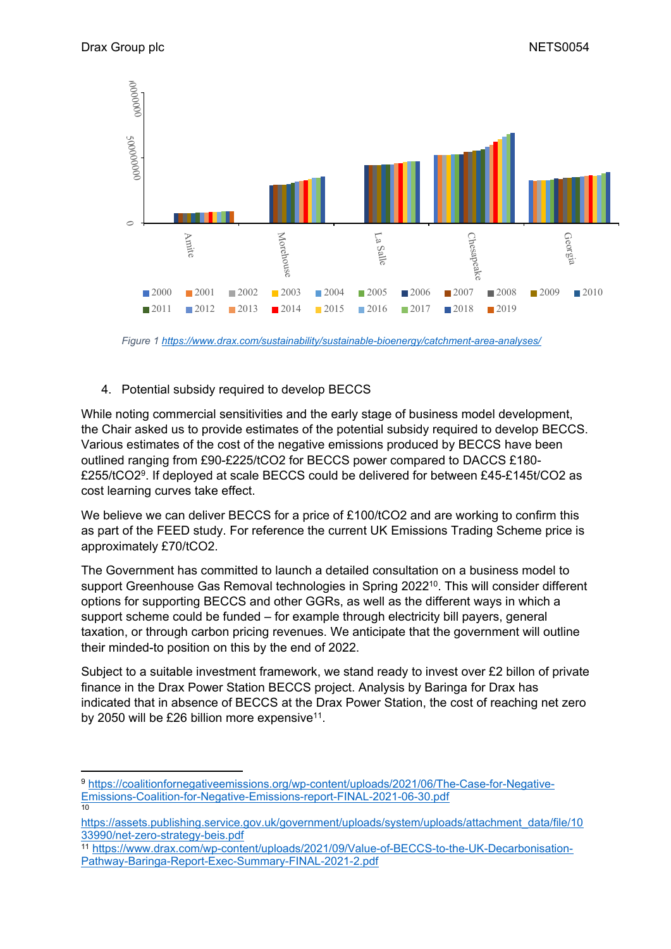

*Figure 1 <https://www.drax.com/sustainability/sustainable-bioenergy/catchment-area-analyses/>*

## 4. Potential subsidy required to develop BECCS

While noting commercial sensitivities and the early stage of business model development, the Chair asked us to provide estimates of the potential subsidy required to develop BECCS. Various estimates of the cost of the negative emissions produced by BECCS have been outlined ranging from £90-£225/tCO2 for BECCS power compared to DACCS £180- £255/tCO2<sup>9</sup> . If deployed at scale BECCS could be delivered for between £45-£145t/CO2 as cost learning curves take effect.

We believe we can deliver BECCS for a price of £100/tCO2 and are working to confirm this as part of the FEED study. For reference the current UK Emissions Trading Scheme price is approximately £70/tCO2.

The Government has committed to launch a detailed consultation on a business model to support Greenhouse Gas Removal technologies in Spring 2022<sup>10</sup>. This will consider different options for supporting BECCS and other GGRs, as well as the different ways in which a support scheme could be funded – for example through electricity bill payers, general taxation, or through carbon pricing revenues. We anticipate that the government will outline their minded-to position on this by the end of 2022.

Subject to a suitable investment framework, we stand ready to invest over £2 billon of private finance in the Drax Power Station BECCS project. Analysis by Baringa for Drax has indicated that in absence of BECCS at the Drax Power Station, the cost of reaching net zero by 2050 will be £26 billion more expensive $11$ .

<sup>9</sup> [https://coalitionfornegativeemissions.org/wp-content/uploads/2021/06/The-Case-for-Negative-](https://coalitionfornegativeemissions.org/wp-content/uploads/2021/06/The-Case-for-Negative-Emissions-Coalition-for-Negative-Emissions-report-FINAL-2021-06-30.pdf)[Emissions-Coalition-for-Negative-Emissions-report-FINAL-2021-06-30.pdf](https://coalitionfornegativeemissions.org/wp-content/uploads/2021/06/The-Case-for-Negative-Emissions-Coalition-for-Negative-Emissions-report-FINAL-2021-06-30.pdf) 10

[https://assets.publishing.service.gov.uk/government/uploads/system/uploads/attachment\\_data/file/10](https://assets.publishing.service.gov.uk/government/uploads/system/uploads/attachment_data/file/1033990/net-zero-strategy-beis.pdf) [33990/net-zero-strategy-beis.pdf](https://assets.publishing.service.gov.uk/government/uploads/system/uploads/attachment_data/file/1033990/net-zero-strategy-beis.pdf)

<sup>11</sup> [https://www.drax.com/wp-content/uploads/2021/09/Value-of-BECCS-to-the-UK-Decarbonisation-](https://www.drax.com/wp-content/uploads/2021/09/Value-of-BECCS-to-the-UK-Decarbonisation-Pathway-Baringa-Report-Exec-Summary-FINAL-2021-2.pdf)[Pathway-Baringa-Report-Exec-Summary-FINAL-2021-2.pdf](https://www.drax.com/wp-content/uploads/2021/09/Value-of-BECCS-to-the-UK-Decarbonisation-Pathway-Baringa-Report-Exec-Summary-FINAL-2021-2.pdf)